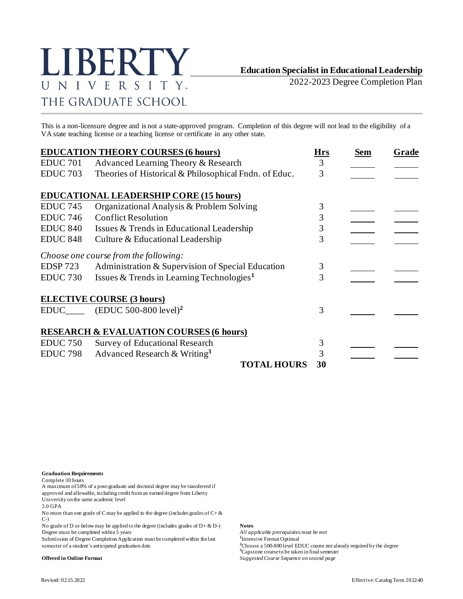

2022-2023 Degree Completion Plan

This is a non-licensure degree and is not a state-approved program. Completion of this degree will not lead to the eligibility of a VA state teaching license or a teaching license or certificate in any other state.

|                     | <b>EDUCATION THEORY COURSES (6 hours)</b>             | <b>Hrs</b> | <b>Sem</b> | Grade |
|---------------------|-------------------------------------------------------|------------|------------|-------|
| <b>EDUC 701</b>     | Advanced Learning Theory & Research                   | 3          |            |       |
| <b>EDUC 703</b>     | Theories of Historical & Philosophical Fndn. of Educ. | 3          |            |       |
|                     | <b>EDUCATIONAL LEADERSHIP CORE (15 hours)</b>         |            |            |       |
| <b>EDUC 745</b>     | Organizational Analysis & Problem Solving             | 3          |            |       |
| <b>EDUC 746</b>     | <b>Conflict Resolution</b>                            | 3          |            |       |
| <b>EDUC 840</b>     | Issues & Trends in Educational Leadership             | 3          |            |       |
| <b>EDUC 848</b>     | Culture & Educational Leadership                      | 3          |            |       |
|                     | Choose one course from the following:                 |            |            |       |
| <b>EDSP 723</b>     | Administration & Supervision of Special Education     | 3          |            |       |
| EDUC <sub>730</sub> | Issues & Trends in Learning Technologies <sup>1</sup> | 3          |            |       |
|                     | <b>ELECTIVE COURSE (3 hours)</b>                      |            |            |       |
|                     | $EDUC$ <sub>____</sub> $(EDUC 500-800 level)^2$       | 3          |            |       |
|                     | <b>RESEARCH &amp; EVALUATION COURSES (6 hours)</b>    |            |            |       |
| <b>EDUC 750</b>     | <b>Survey of Educational Research</b>                 | 3          |            |       |
| <b>EDUC 798</b>     | Advanced Research & Writing <sup>3</sup>              | 3          |            |       |
|                     | <b>TOTAL HOURS</b>                                    | 30         |            |       |

**Graduation Requirements**

Complete 30 hours

A maximum of 50% of a post-graduate and doctoral degree may be transferred if approved and allowable, including credit from an earned degree from Liberty University on the same academic level

3.0 GPA

No more than one grade of C may be applied to the degree (includes grades of  $C + \&$ C-)

No grade of D or below may be applied to the degree (includes grades of D+ & D-) **Notes** Degree must be completed within 5 years *All applicable prerequisites must be met*

Submission of Degree Completion Application must be completed within the last semester of a student's anticipated graduation date

<sup>1</sup>Intensive Format Optional <sup>2</sup>Choose a 500-800 level EDUC course not already required by the degree **<sup>3</sup>**Capstone course to be taken in final semester **Offered in Online Format** *Suggested Course Sequence on second page*